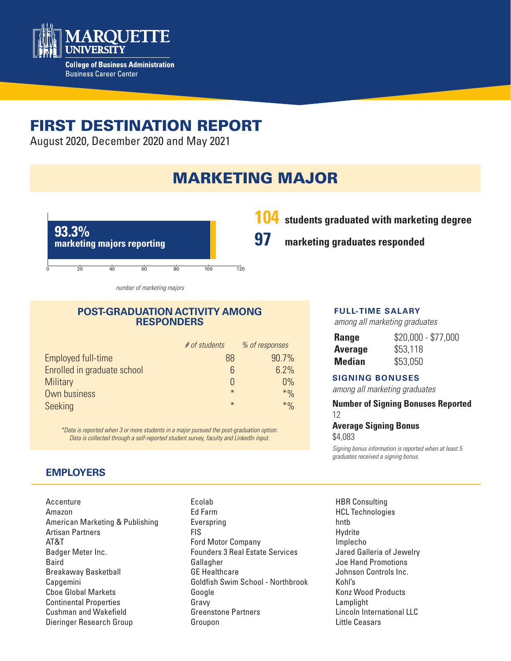

# FIRST DESTINATION REPORT

August 2020, December 2020 and May 2021

# MARKETING MAJOR



*number of marketing majors*

#### **POST-GRADUATION ACTIVITY AMONG RESPONDERS**

|                             | # of students | % of responses |
|-----------------------------|---------------|----------------|
| Employed full-time          | 88            | 90.7%          |
| Enrolled in graduate school | 6             | 6.2%           |
| <b>Military</b>             |               | 0%             |
| Own business                | $*$           | $*9/0$         |
| Seeking                     | $\ast$        | $*9/0$         |

*\*Data is reported when 3 or more students in a major pursued the post-graduation option. Data is collected through a self-reported student survey, faculty and LinkedIn input.*

## **EMPLOYERS**

- Accenture Amazon American Marketing & Publishing Artisan Partners AT&T Badger Meter Inc. Baird Breakaway Basketball Capgemini Cboe Global Markets Continental Properties Cushman and Wakefield Dieringer Research Group
- Ecolab Ed Farm Everspring FIS Ford Motor Company Founders 3 Real Estate Services Gallagher GE Healthcare Goldfish Swim School - Northbrook Google Gravy Greenstone Partners Groupon

# **104 students graduated with marketing degree**

**97 marketing graduates responded**

#### **FULL-TIME SALARY**

*among all marketing graduates*

| Range   | $$20,000 - $77,000$ |
|---------|---------------------|
| Average | \$53,118            |
| Median  | \$53,050            |

#### **SIGNING BONUSES**

*among all marketing graduates*

#### **Number of Signing Bonuses Reported** 12

#### **Average Signing Bonus**

\$4,083

*Signing bonus information is reported when at least 5 graduates received a signing bonus.* 

HBR Consulting HCL Technologies hntb Hydrite Implecho Jared Galleria of Jewelry Joe Hand Promotions Johnson Controls Inc. Kohl's Konz Wood Products Lamplight Lincoln International LLC Little Ceasars